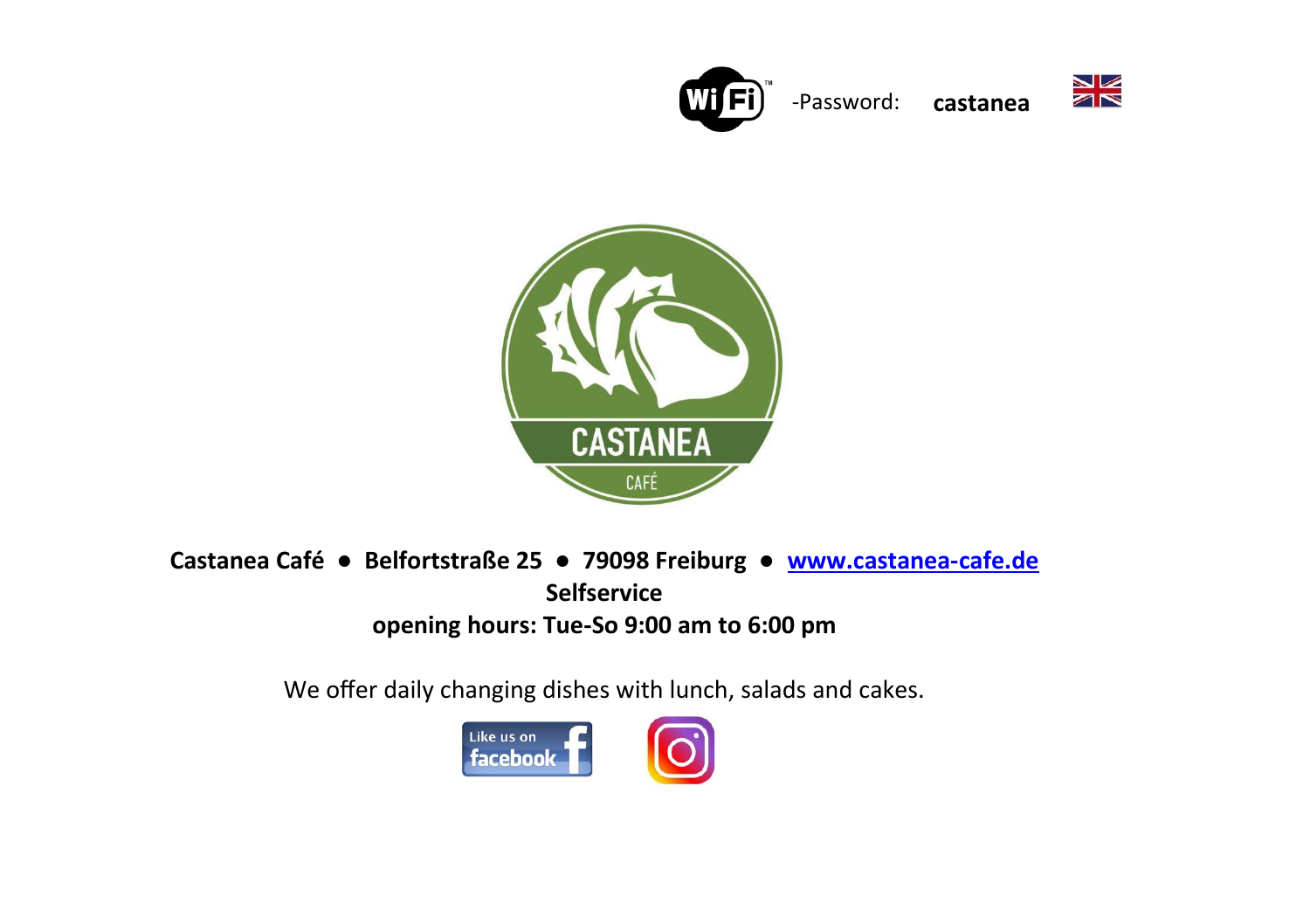

-Password: **castanea**





**Castanea Café ● Belfortstraße 25 ● 79098 Freiburg ● [www.castanea-cafe.de](http://www.castanea-cafe.de/) Selfservice opening hours: Tue-So 9:00 am to 6:00 pm**

We offer daily changing dishes with lunch, salads and cakes.

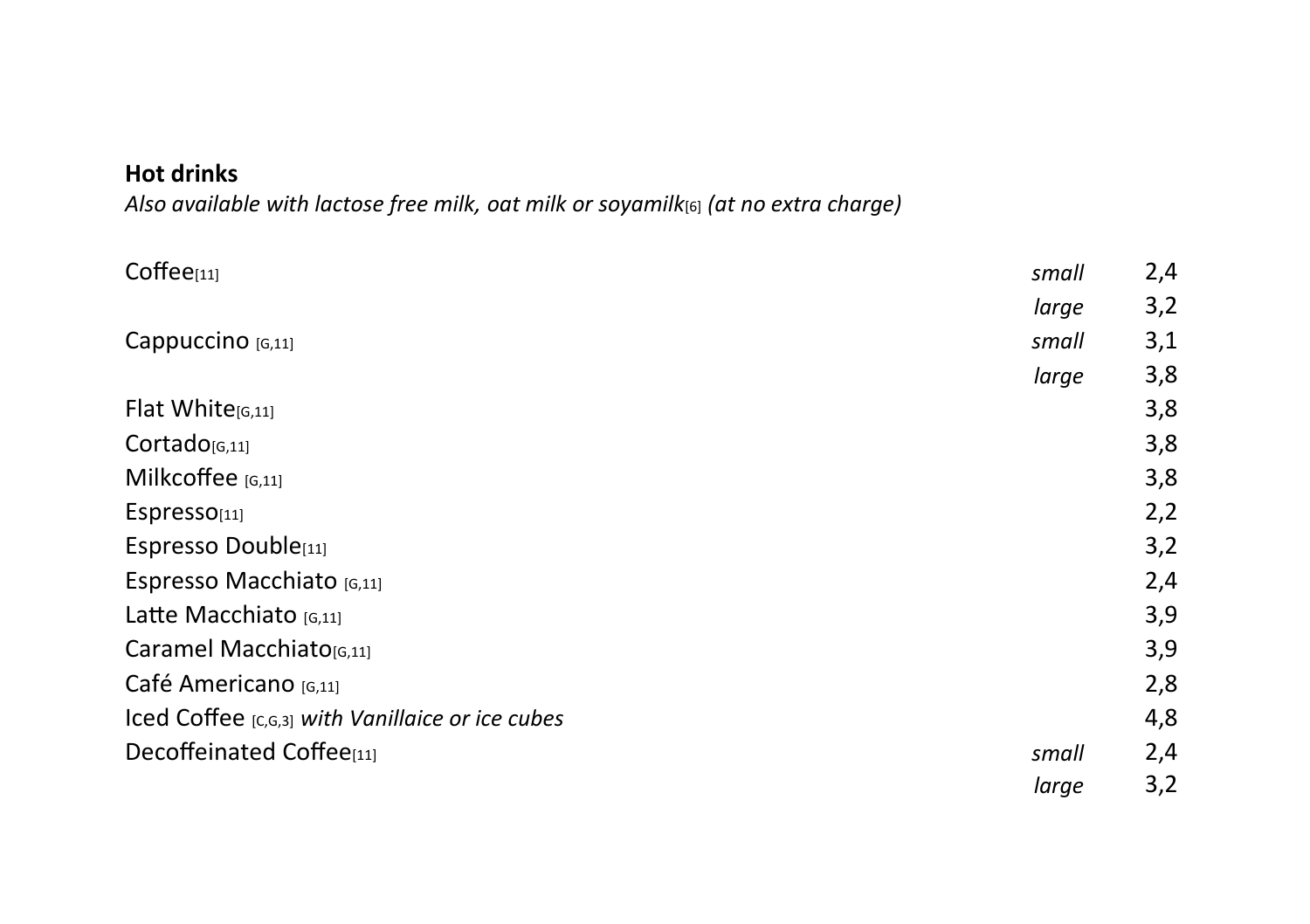### **Hot drinks**

*Also available with lactose free milk, oat milk or soyamilk*[6] *(at no extra charge)*

| $Coffee_{[11]}$                                  | small | 2,4 |
|--------------------------------------------------|-------|-----|
|                                                  | large | 3,2 |
| Cappuccino [G,11]                                | small | 3,1 |
|                                                  | large | 3,8 |
| Flat White[G,11]                                 |       | 3,8 |
| Cortado <sub>[G,11]</sub>                        |       | 3,8 |
| Milkcoffee [G,11]                                |       | 3,8 |
| Espresso <sub>[11]</sub>                         |       | 2,2 |
| Espresso Double[11]                              |       | 3,2 |
| Espresso Macchiato [G,11]                        |       | 2,4 |
| Latte Macchiato [6,11]                           |       | 3,9 |
| Caramel Macchiato <sub>[6,11]</sub>              |       | 3,9 |
| Café Americano [6,11]                            |       | 2,8 |
| Iced Coffee [C,G,3] with Vanillaice or ice cubes |       | 4,8 |
| Decoffeinated Coffee[11]                         | small | 2,4 |
|                                                  | large | 3,2 |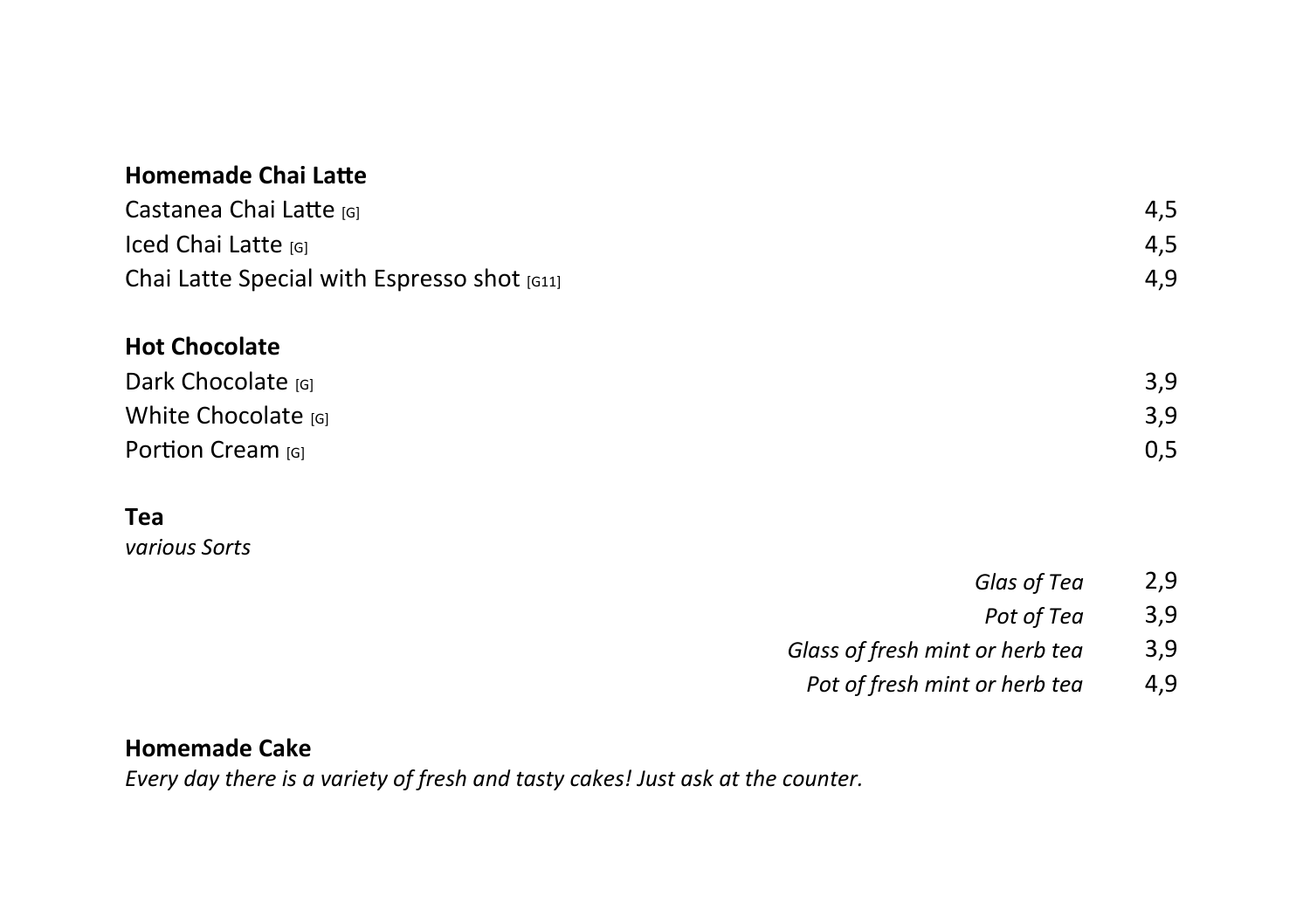| <b>Homemade Chai Latte</b>                  |                                 |     |
|---------------------------------------------|---------------------------------|-----|
| Castanea Chai Latte [6]                     |                                 | 4,5 |
| Iced Chai Latte [G]                         |                                 | 4,5 |
| Chai Latte Special with Espresso shot [G11] |                                 | 4,9 |
| <b>Hot Chocolate</b>                        |                                 |     |
| Dark Chocolate [G]                          |                                 | 3,9 |
| White Chocolate [G]                         |                                 | 3,9 |
| Portion Cream [G]                           |                                 | 0,5 |
| Tea                                         |                                 |     |
| various Sorts                               |                                 |     |
|                                             | Glas of Tea                     | 2,9 |
|                                             | Pot of Tea                      | 3,9 |
|                                             | Glass of fresh mint or herb tea | 3,9 |

Pot of fresh mint or herb tea 4,9

# **Homemade Cake**

*Every day there is a variety of fresh and tasty cakes! Just ask at the counter.*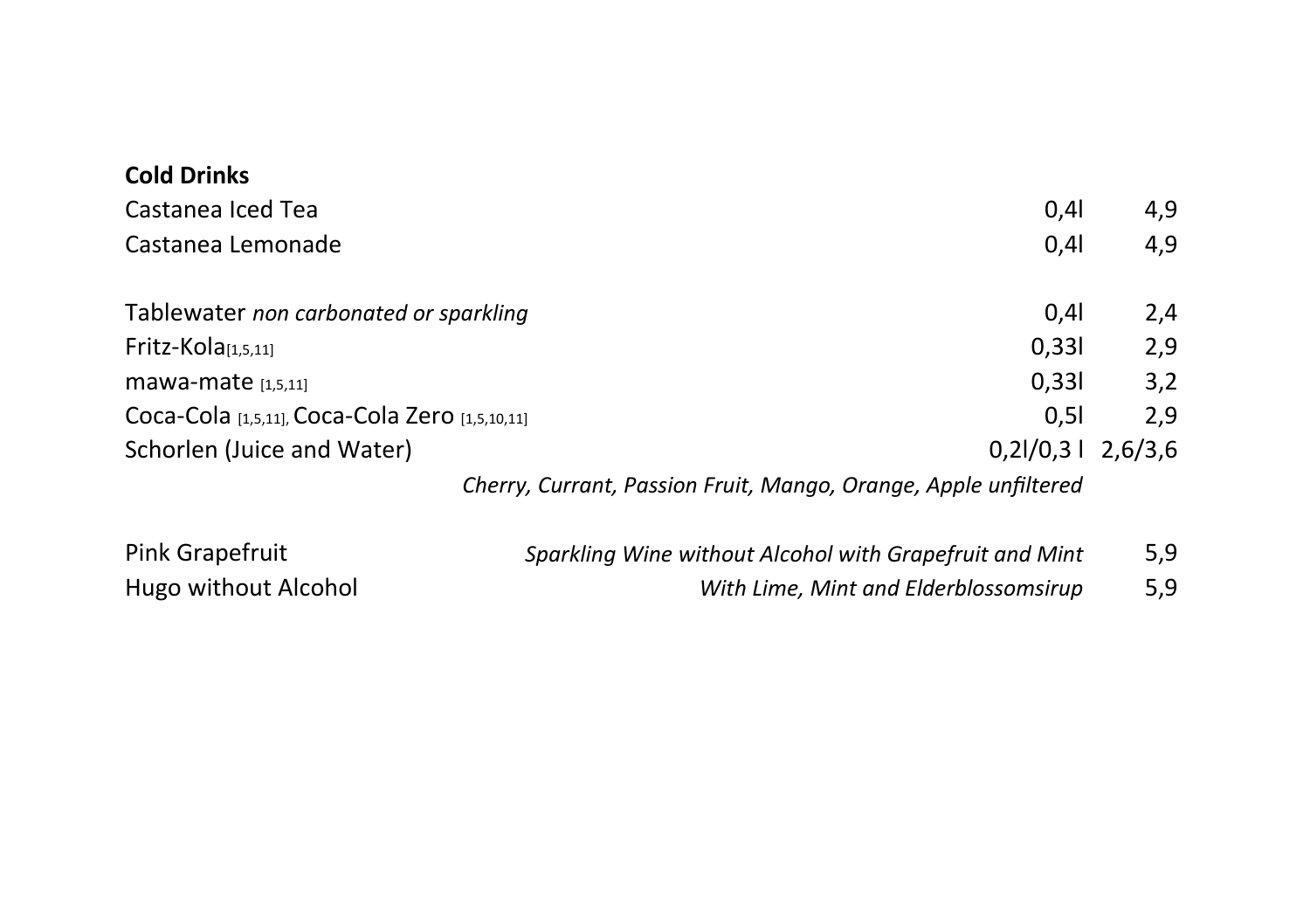| <b>Cold Drinks</b>                                              |                     |     |
|-----------------------------------------------------------------|---------------------|-----|
| Castanea Iced Tea                                               | 0,41                | 4,9 |
| Castanea Lemonade                                               | 0,41                | 4,9 |
| Tablewater non carbonated or sparkling                          | 0,41                | 2,4 |
| Fritz-Kola $[1,5,11]$                                           | 0,331               | 2,9 |
| mawa-mate $[1,5,11]$                                            | 0,331               | 3,2 |
| Coca-Cola [1,5,11], Coca-Cola Zero [1,5,10,11]                  | 0,51                | 2,9 |
| Schorlen (Juice and Water)                                      | $0,21/0,31$ 2,6/3,6 |     |
| Cherry, Currant, Passion Fruit, Mango, Orange, Apple unfiltered |                     |     |

| Pink Grapefruit      | Sparkling Wine without Alcohol with Grapefruit and Mint | 5,9 |
|----------------------|---------------------------------------------------------|-----|
| Hugo without Alcohol | With Lime, Mint and Elderblossomsirup                   | 5,9 |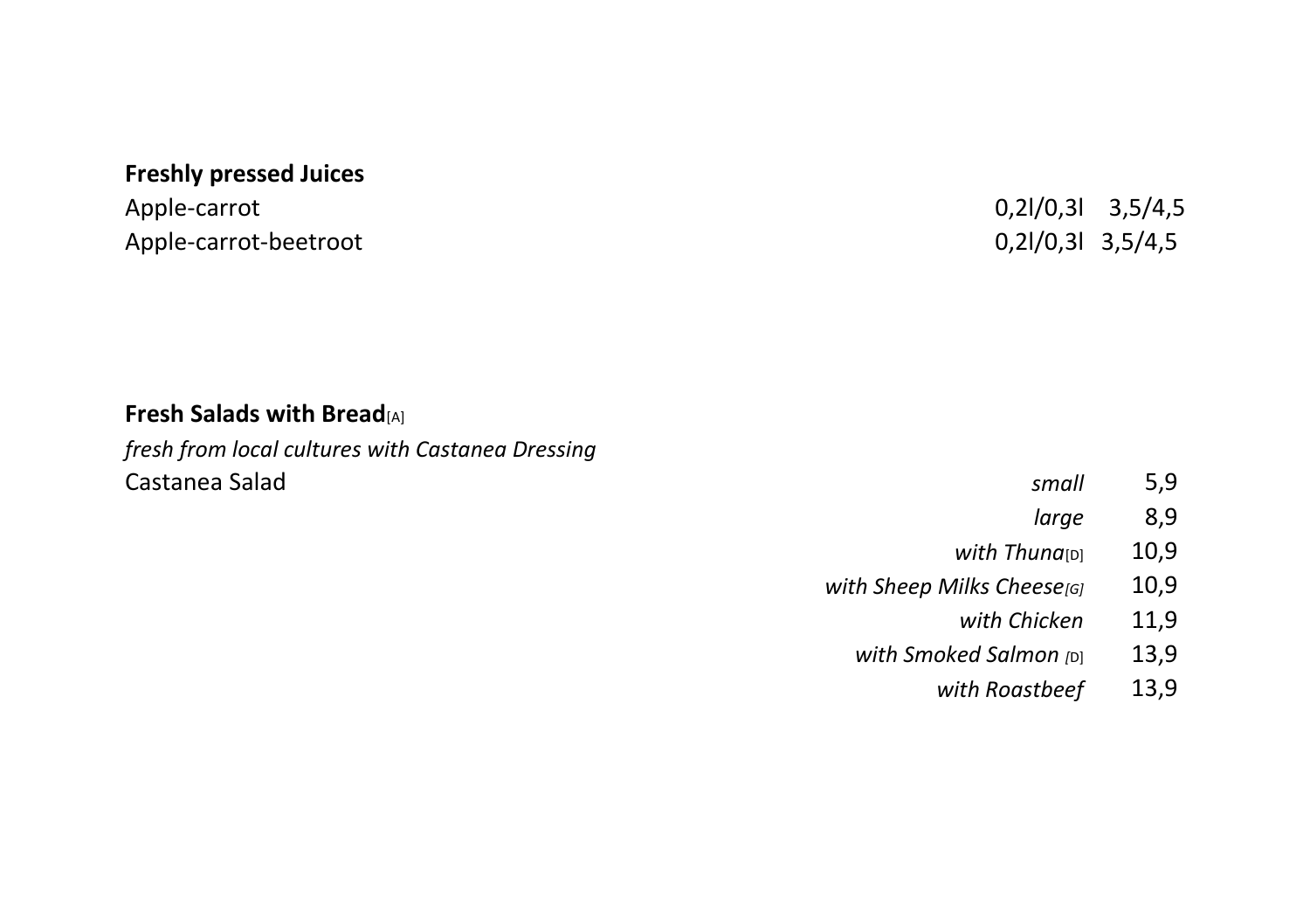# **Freshly pressed Juices**

Apple-carrot-beetroot 0,2l/0,3l 3,5/4,5

Apple-carrot 0,2l/0,3l 3,5/4,5

# **Fresh Salads with Bread**[A]

*fresh from local cultures with Castanea Dressing* **Castanea Salad** 

| small | C<br>5,5 |
|-------|----------|
|       |          |

- *large* 8,9
- with Thuna<sub>[D]</sub> 10,9
- *with Sheep Milks Cheese<sub>[G]</sub>* 10,9
	- *with Chicken* 11,9
	- *with Smoked Salmon* [D] 13,9
		- *with Roastbeef* 13,9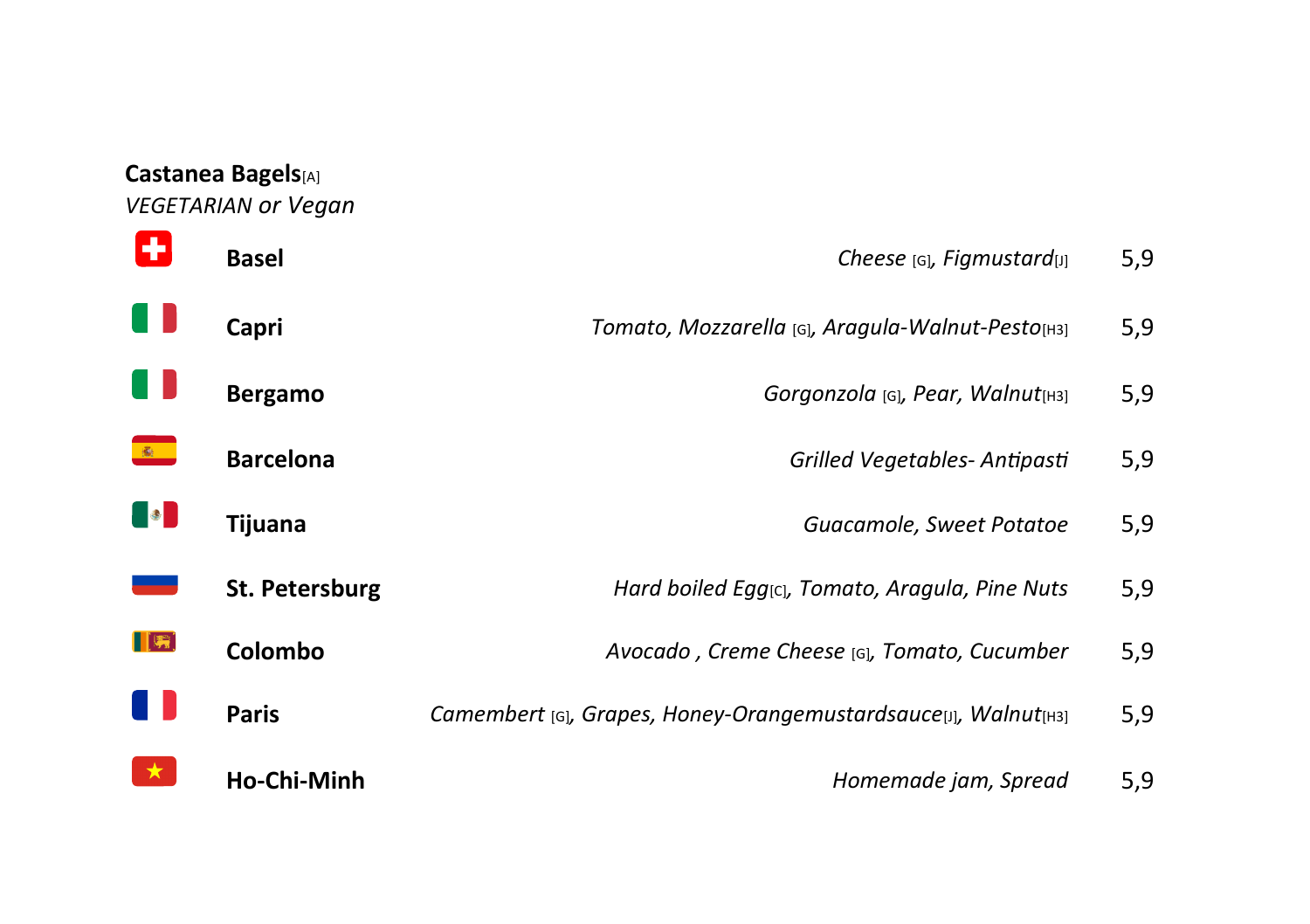#### **Castanea Bagels**[A]

*VEGETARIAN or Vegan*

A **Basel Basel Cheese Cheese Cheese Cheese Cheese Cheese Cheese Cheese Cheese Cheese Cheese Cheese Cheese Cheese Cheese Cheese Cheese Cheese Cheese Cheese Cheese Cheese Cheese** A N **Capri** *Tomato, Mozzarella* [G]*, Aragula-Walnut-Pesto*[H3] 5,9 - 11 Bergamo *Bergamo Gorgonzola* [G], *Pear, Walnut*<sub>[H3]</sub> 5,9  $\frac{d\mathbf{r}}{d\mathbf{r}}$  . **Barcelona** *Grilled Vegetables- Antipasti* 5,9 **DO Tijuana** *Guacamole, Sweet Potatoe* 5,9 **St. Petersburg** *Hard boiled Egg***<sub>[C]</sub>, Tomato, Aragula, Pine Nuts 5,9**  $\blacksquare$ **Colombo** *Avocado , Creme Cheese* [G]*, Tomato, Cucumber* 5,9 A N **Paris** *Camembert* [G]*, Grapes, Honey-Orangemustardsauce*[J]*, Walnut*[H3] 5,9  $\star$ **Ho-Chi-Minh** *Homemade jam, Spread* 5,9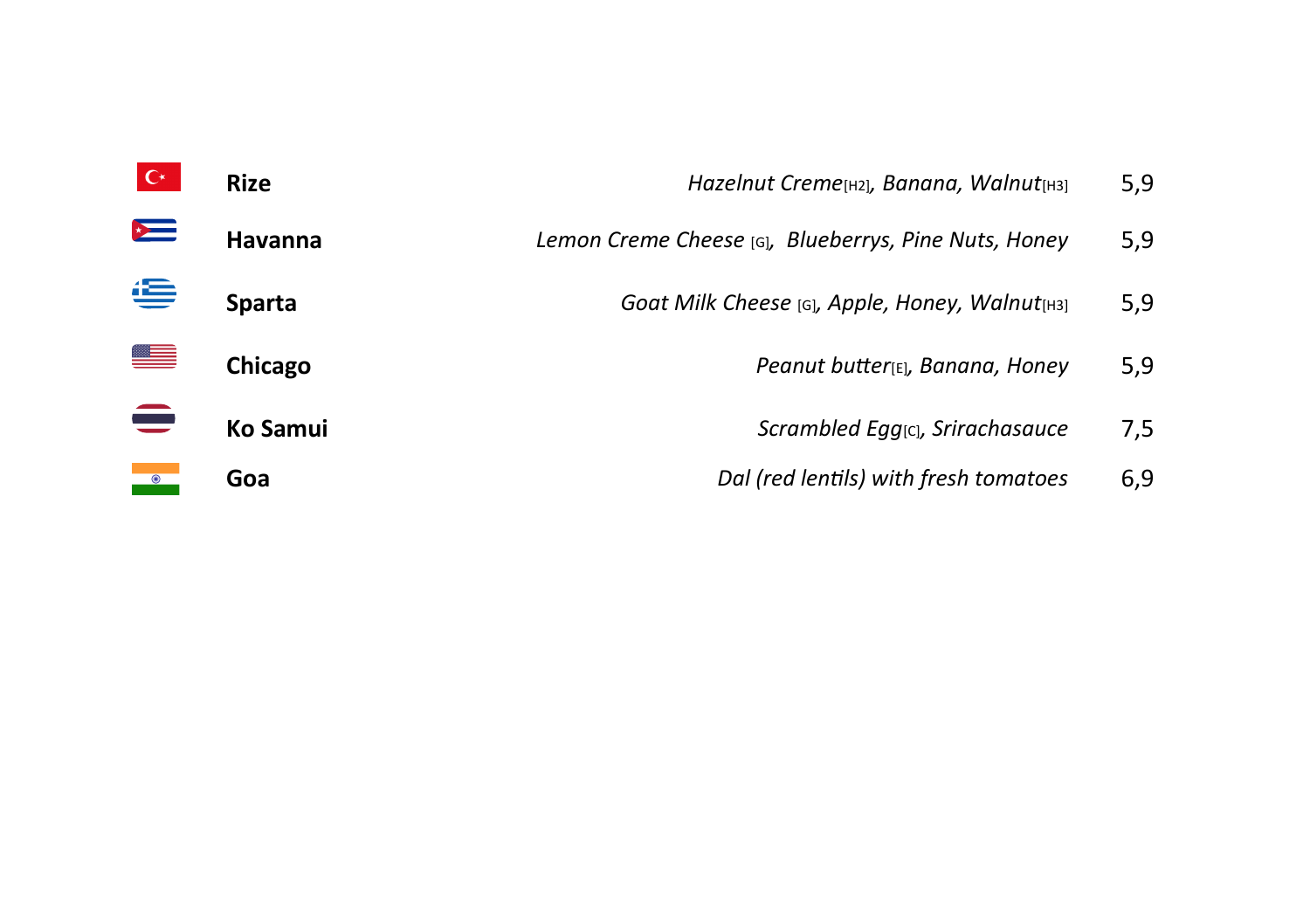|           | <b>Rize</b>   | Hazelnut Creme[H2], Banana, Walnut[H3]               | 5,9 |
|-----------|---------------|------------------------------------------------------|-----|
| $\sim$    | Havanna       | Lemon Creme Cheese [G], Blueberrys, Pine Nuts, Honey | 5,9 |
| ⋐         | <b>Sparta</b> | Goat Milk Cheese [G], Apple, Honey, Walnut[H3]       | 5,9 |
|           | Chicago       | Peanut butter[E], Banana, Honey                      | 5,9 |
|           | Ko Samui      | Scrambled Egg <sub>[C]</sub> , Srirachasauce         | 7,5 |
| $\bullet$ | Goa           | Dal (red lentils) with fresh tomatoes                | 6,9 |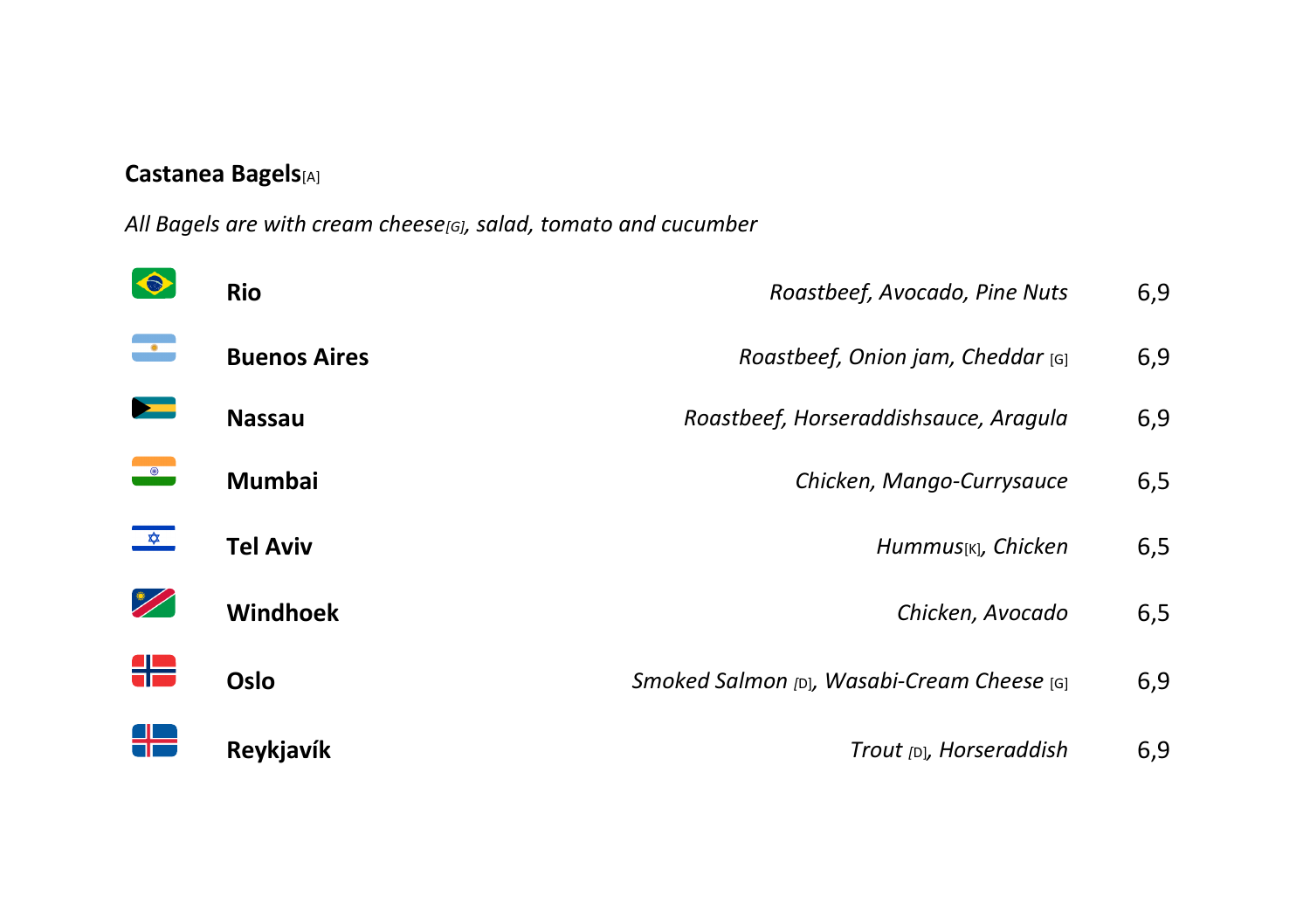#### **Castanea Bagels**[A]

*All Bagels are with cream cheese[G], salad, tomato and cucumber*

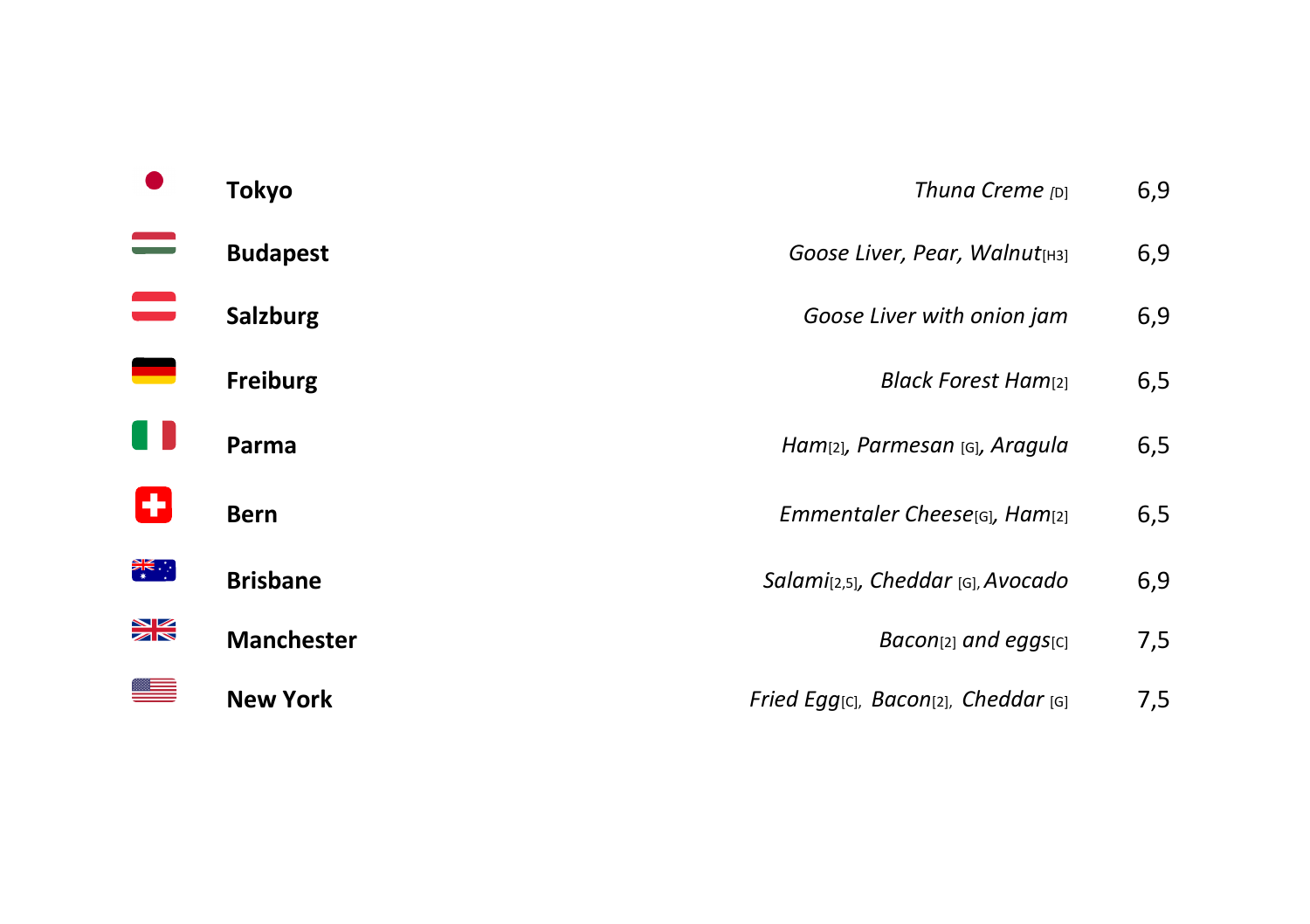|                | <b>Tokyo</b>      | Thuna Creme [D]                                               | 6,9 |
|----------------|-------------------|---------------------------------------------------------------|-----|
| $\equiv$       | <b>Budapest</b>   | Goose Liver, Pear, Walnut[H3]                                 | 6,9 |
| $\equiv$       | <b>Salzburg</b>   | Goose Liver with onion jam                                    | 6,9 |
| $\blacksquare$ | Freiburg          | <b>Black Forest Ham</b> <sup>[2]</sup>                        | 6,5 |
| U              | Parma             | Ham <sub>[2]</sub> , Parmesan [G], Aragula                    | 6,5 |
| ÷              | <b>Bern</b>       | Emmentaler Cheese[G], Ham[2]                                  | 6,5 |
| 業務             | <b>Brisbane</b>   | Salami(2,5), Cheddar [G], Avocado                             | 6,9 |
| $\frac{1}{2}$  | <b>Manchester</b> | $Bacon[2]$ and eggs $[c]$                                     | 7,5 |
|                | <b>New York</b>   | Fried Egg <sub>[C]</sub> , Bacon <sub>[2]</sub> , Cheddar [G] | 7,5 |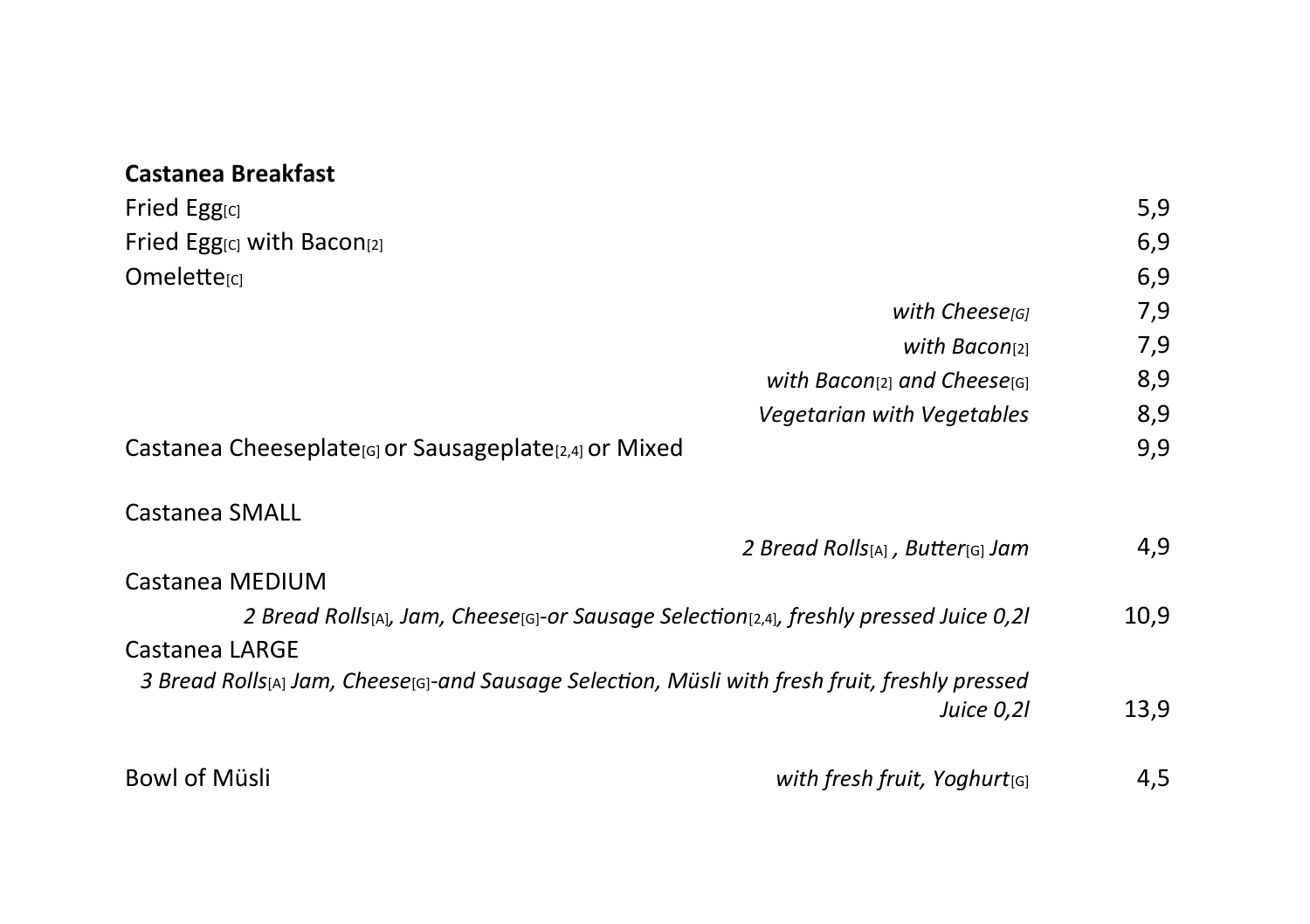# **Castanea Breakfast**

| Fried Egg <sub>[C]</sub>                                                                                   | 5,9  |
|------------------------------------------------------------------------------------------------------------|------|
| Fried Egg <sub>ICI</sub> with Bacon <sub>[2]</sub>                                                         | 6,9  |
| Omelette <sub>[C]</sub>                                                                                    | 6,9  |
| with Cheese <sub>[G]</sub>                                                                                 | 7,9  |
| with Bacon $[2]$                                                                                           | 7,9  |
| with Bacon(2) and Cheese( $G$ )                                                                            | 8,9  |
| Vegetarian with Vegetables                                                                                 | 8,9  |
| Castanea Cheeseplate <sub>[G]</sub> or Sausageplate <sub>[2,4]</sub> or Mixed                              | 9,9  |
| Castanea SMALL                                                                                             |      |
| 2 Bread Rolls[A], Butter[G] Jam                                                                            | 4,9  |
| Castanea MEDIUM                                                                                            |      |
| 2 Bread Rolls(A), Jam, Cheese(G)-or Sausage Selection(2,4), freshly pressed Juice 0,2l                     | 10,9 |
| Castanea LARGE                                                                                             |      |
| 3 Bread Rolls <sub>[A]</sub> Jam, Cheese[G]-and Sausage Selection, Müsli with fresh fruit, freshly pressed |      |
| Juice 0,2l                                                                                                 | 13,9 |
| <b>Bowl of Müsli</b><br>with fresh fruit, Yoghurt $_{[G]}$                                                 | 4,5  |